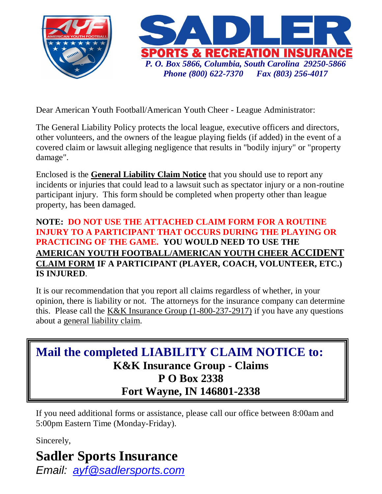

Dear American Youth Football/American Youth Cheer - League Administrator:

The General Liability Policy protects the local league, executive officers and directors, other volunteers, and the owners of the league playing fields (if added) in the event of a covered claim or lawsuit alleging negligence that results in "bodily injury" or "property damage".

Enclosed is the **General Liability Claim Notice** that you should use to report any incidents or injuries that could lead to a lawsuit such as spectator injury or a non-routine participant injury. This form should be completed when property other than league property, has been damaged.

## **NOTE: DO NOT USE THE ATTACHED CLAIM FORM FOR A ROUTINE INJURY TO A PARTICIPANT THAT OCCURS DURING THE PLAYING OR PRACTICING OF THE GAME. YOU WOULD NEED TO USE THE AMERICAN YOUTH FOOTBALL/AMERICAN YOUTH CHEER ACCIDENT CLAIM FORM IF A PARTICIPANT (PLAYER, COACH, VOLUNTEER, ETC.) IS INJURED**.

It is our recommendation that you report all claims regardless of whether, in your opinion, there is liability or not. The attorneys for the insurance company can determine this. Please call the K&K Insurance Group (1-800-237-2917) if you have any questions about a general liability claim.

**Mail the completed LIABILITY CLAIM NOTICE to: K&K Insurance Group - Claims P O Box 2338 Fort Wayne, IN 146801-2338**

If you need additional forms or assistance, please call our office between 8:00am and 5:00pm Eastern Time (Monday-Friday).

Sincerely,

## **Sadler Sports Insurance**

*Email: [ayf@sadlersports.com](mailto:ayf@sadlersports.com)*